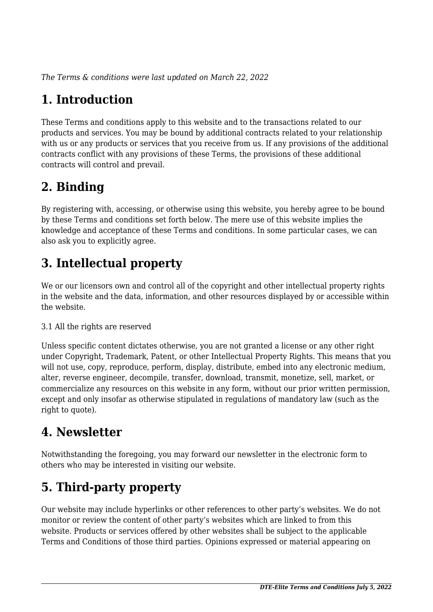*The Terms & conditions were last updated on March 22, 2022*

# **1. Introduction**

These Terms and conditions apply to this website and to the transactions related to our products and services. You may be bound by additional contracts related to your relationship with us or any products or services that you receive from us. If any provisions of the additional contracts conflict with any provisions of these Terms, the provisions of these additional contracts will control and prevail.

# **2. Binding**

By registering with, accessing, or otherwise using this website, you hereby agree to be bound by these Terms and conditions set forth below. The mere use of this website implies the knowledge and acceptance of these Terms and conditions. In some particular cases, we can also ask you to explicitly agree.

# **3. Intellectual property**

We or our licensors own and control all of the copyright and other intellectual property rights in the website and the data, information, and other resources displayed by or accessible within the website.

#### 3.1 All the rights are reserved

Unless specific content dictates otherwise, you are not granted a license or any other right under Copyright, Trademark, Patent, or other Intellectual Property Rights. This means that you will not use, copy, reproduce, perform, display, distribute, embed into any electronic medium, alter, reverse engineer, decompile, transfer, download, transmit, monetize, sell, market, or commercialize any resources on this website in any form, without our prior written permission, except and only insofar as otherwise stipulated in regulations of mandatory law (such as the right to quote).

## **4. Newsletter**

Notwithstanding the foregoing, you may forward our newsletter in the electronic form to others who may be interested in visiting our website.

# **5. Third-party property**

Our website may include hyperlinks or other references to other party's websites. We do not monitor or review the content of other party's websites which are linked to from this website. Products or services offered by other websites shall be subject to the applicable Terms and Conditions of those third parties. Opinions expressed or material appearing on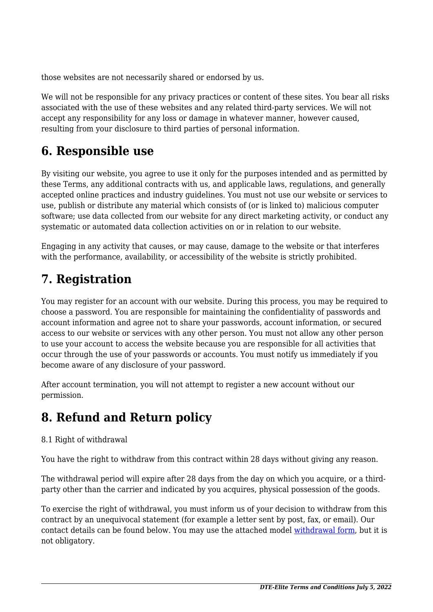those websites are not necessarily shared or endorsed by us.

We will not be responsible for any privacy practices or content of these sites. You bear all risks associated with the use of these websites and any related third-party services. We will not accept any responsibility for any loss or damage in whatever manner, however caused, resulting from your disclosure to third parties of personal information.

# **6. Responsible use**

By visiting our website, you agree to use it only for the purposes intended and as permitted by these Terms, any additional contracts with us, and applicable laws, regulations, and generally accepted online practices and industry guidelines. You must not use our website or services to use, publish or distribute any material which consists of (or is linked to) malicious computer software; use data collected from our website for any direct marketing activity, or conduct any systematic or automated data collection activities on or in relation to our website.

Engaging in any activity that causes, or may cause, damage to the website or that interferes with the performance, availability, or accessibility of the website is strictly prohibited.

# **7. Registration**

You may register for an account with our website. During this process, you may be required to choose a password. You are responsible for maintaining the confidentiality of passwords and account information and agree not to share your passwords, account information, or secured access to our website or services with any other person. You must not allow any other person to use your account to access the website because you are responsible for all activities that occur through the use of your passwords or accounts. You must notify us immediately if you become aware of any disclosure of your password.

After account termination, you will not attempt to register a new account without our permission.

# **8. Refund and Return policy**

#### 8.1 Right of withdrawal

You have the right to withdraw from this contract within 28 days without giving any reason.

The withdrawal period will expire after 28 days from the day on which you acquire, or a thirdparty other than the carrier and indicated by you acquires, physical possession of the goods.

To exercise the right of withdrawal, you must inform us of your decision to withdraw from this contract by an unequivocal statement (for example a letter sent by post, fax, or email). Our contact details can be found below. You may use the attached model [withdrawal form](https://dte-elite.co.uk/wp-content/uploads/complianz/withdrawal-forms/withdrawal-form-en.pdf), but it is not obligatory.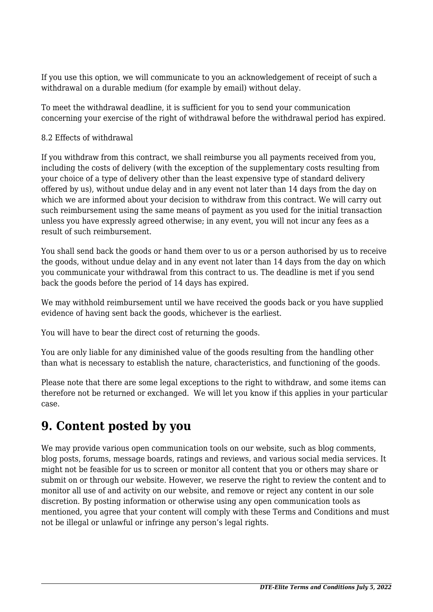If you use this option, we will communicate to you an acknowledgement of receipt of such a withdrawal on a durable medium (for example by email) without delay.

To meet the withdrawal deadline, it is sufficient for you to send your communication concerning your exercise of the right of withdrawal before the withdrawal period has expired.

#### 8.2 Effects of withdrawal

If you withdraw from this contract, we shall reimburse you all payments received from you, including the costs of delivery (with the exception of the supplementary costs resulting from your choice of a type of delivery other than the least expensive type of standard delivery offered by us), without undue delay and in any event not later than 14 days from the day on which we are informed about your decision to withdraw from this contract. We will carry out such reimbursement using the same means of payment as you used for the initial transaction unless you have expressly agreed otherwise; in any event, you will not incur any fees as a result of such reimbursement.

You shall send back the goods or hand them over to us or a person authorised by us to receive the goods, without undue delay and in any event not later than 14 days from the day on which you communicate your withdrawal from this contract to us. The deadline is met if you send back the goods before the period of 14 days has expired.

We may withhold reimbursement until we have received the goods back or you have supplied evidence of having sent back the goods, whichever is the earliest.

You will have to bear the direct cost of returning the goods.

You are only liable for any diminished value of the goods resulting from the handling other than what is necessary to establish the nature, characteristics, and functioning of the goods.

Please note that there are some legal exceptions to the right to withdraw, and some items can therefore not be returned or exchanged. We will let you know if this applies in your particular case.

## **9. Content posted by you**

We may provide various open communication tools on our website, such as blog comments, blog posts, forums, message boards, ratings and reviews, and various social media services. It might not be feasible for us to screen or monitor all content that you or others may share or submit on or through our website. However, we reserve the right to review the content and to monitor all use of and activity on our website, and remove or reject any content in our sole discretion. By posting information or otherwise using any open communication tools as mentioned, you agree that your content will comply with these Terms and Conditions and must not be illegal or unlawful or infringe any person's legal rights.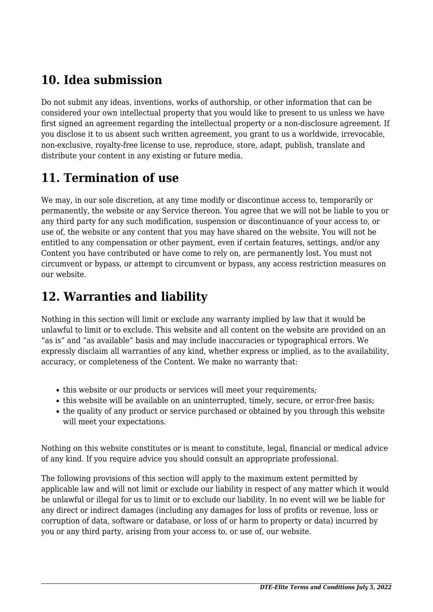# **10. Idea submission**

Do not submit any ideas, inventions, works of authorship, or other information that can be considered your own intellectual property that you would like to present to us unless we have first signed an agreement regarding the intellectual property or a non-disclosure agreement. If you disclose it to us absent such written agreement, you grant to us a worldwide, irrevocable, non-exclusive, royalty-free license to use, reproduce, store, adapt, publish, translate and distribute your content in any existing or future media.

# **11. Termination of use**

We may, in our sole discretion, at any time modify or discontinue access to, temporarily or permanently, the website or any Service thereon. You agree that we will not be liable to you or any third party for any such modification, suspension or discontinuance of your access to, or use of, the website or any content that you may have shared on the website. You will not be entitled to any compensation or other payment, even if certain features, settings, and/or any Content you have contributed or have come to rely on, are permanently lost. You must not circumvent or bypass, or attempt to circumvent or bypass, any access restriction measures on our website.

## **12. Warranties and liability**

Nothing in this section will limit or exclude any warranty implied by law that it would be unlawful to limit or to exclude. This website and all content on the website are provided on an "as is" and "as available" basis and may include inaccuracies or typographical errors. We expressly disclaim all warranties of any kind, whether express or implied, as to the availability, accuracy, or completeness of the Content. We make no warranty that:

- this website or our products or services will meet your requirements;
- this website will be available on an uninterrupted, timely, secure, or error-free basis;
- the quality of any product or service purchased or obtained by you through this website will meet your expectations.

Nothing on this website constitutes or is meant to constitute, legal, financial or medical advice of any kind. If you require advice you should consult an appropriate professional.

The following provisions of this section will apply to the maximum extent permitted by applicable law and will not limit or exclude our liability in respect of any matter which it would be unlawful or illegal for us to limit or to exclude our liability. In no event will we be liable for any direct or indirect damages (including any damages for loss of profits or revenue, loss or corruption of data, software or database, or loss of or harm to property or data) incurred by you or any third party, arising from your access to, or use of, our website.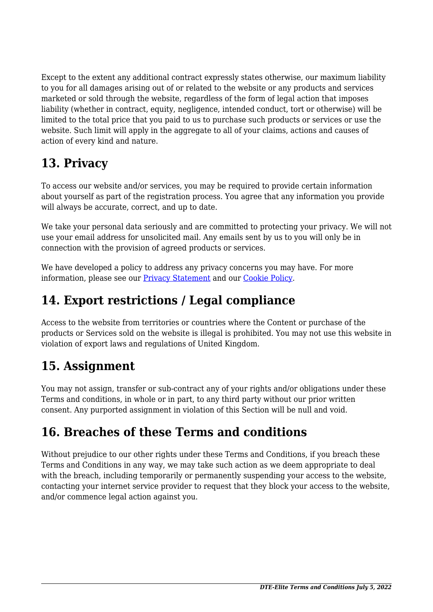Except to the extent any additional contract expressly states otherwise, our maximum liability to you for all damages arising out of or related to the website or any products and services marketed or sold through the website, regardless of the form of legal action that imposes liability (whether in contract, equity, negligence, intended conduct, tort or otherwise) will be limited to the total price that you paid to us to purchase such products or services or use the website. Such limit will apply in the aggregate to all of your claims, actions and causes of action of every kind and nature.

# **13. Privacy**

To access our website and/or services, you may be required to provide certain information about yourself as part of the registration process. You agree that any information you provide will always be accurate, correct, and up to date.

We take your personal data seriously and are committed to protecting your privacy. We will not use your email address for unsolicited mail. Any emails sent by us to you will only be in connection with the provision of agreed products or services.

We have developed a policy to address any privacy concerns you may have. For more information, please see our [Privacy Statement](https://dte-elite.co.uk/privacy-policy/) and our [Cookie Policy](https://dte-elite.co.uk/privacy-policy/).

# **14. Export restrictions / Legal compliance**

Access to the website from territories or countries where the Content or purchase of the products or Services sold on the website is illegal is prohibited. You may not use this website in violation of export laws and regulations of United Kingdom.

# **15. Assignment**

You may not assign, transfer or sub-contract any of your rights and/or obligations under these Terms and conditions, in whole or in part, to any third party without our prior written consent. Any purported assignment in violation of this Section will be null and void.

# **16. Breaches of these Terms and conditions**

Without prejudice to our other rights under these Terms and Conditions, if you breach these Terms and Conditions in any way, we may take such action as we deem appropriate to deal with the breach, including temporarily or permanently suspending your access to the website, contacting your internet service provider to request that they block your access to the website, and/or commence legal action against you.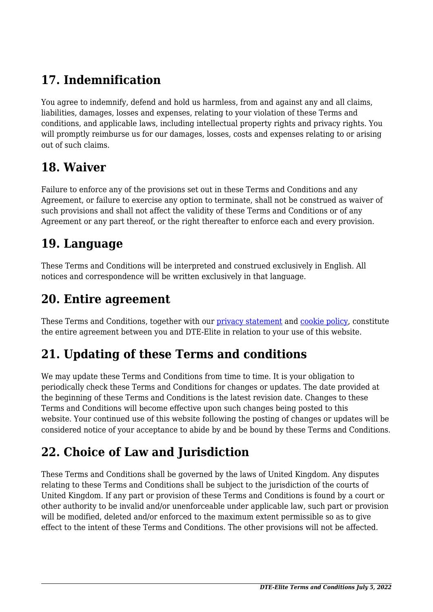# **17. Indemnification**

You agree to indemnify, defend and hold us harmless, from and against any and all claims, liabilities, damages, losses and expenses, relating to your violation of these Terms and conditions, and applicable laws, including intellectual property rights and privacy rights. You will promptly reimburse us for our damages, losses, costs and expenses relating to or arising out of such claims.

## **18. Waiver**

Failure to enforce any of the provisions set out in these Terms and Conditions and any Agreement, or failure to exercise any option to terminate, shall not be construed as waiver of such provisions and shall not affect the validity of these Terms and Conditions or of any Agreement or any part thereof, or the right thereafter to enforce each and every provision.

## **19. Language**

These Terms and Conditions will be interpreted and construed exclusively in English. All notices and correspondence will be written exclusively in that language.

### **20. Entire agreement**

These Terms and Conditions, together with our *[privacy statement](https://dte-elite.co.uk/privacy-policy/)* and *cookie policy*, constitute the entire agreement between you and DTE-Elite in relation to your use of this website.

# **21. Updating of these Terms and conditions**

We may update these Terms and Conditions from time to time. It is your obligation to periodically check these Terms and Conditions for changes or updates. The date provided at the beginning of these Terms and Conditions is the latest revision date. Changes to these Terms and Conditions will become effective upon such changes being posted to this website. Your continued use of this website following the posting of changes or updates will be considered notice of your acceptance to abide by and be bound by these Terms and Conditions.

# **22. Choice of Law and Jurisdiction**

These Terms and Conditions shall be governed by the laws of United Kingdom. Any disputes relating to these Terms and Conditions shall be subject to the jurisdiction of the courts of United Kingdom. If any part or provision of these Terms and Conditions is found by a court or other authority to be invalid and/or unenforceable under applicable law, such part or provision will be modified, deleted and/or enforced to the maximum extent permissible so as to give effect to the intent of these Terms and Conditions. The other provisions will not be affected.